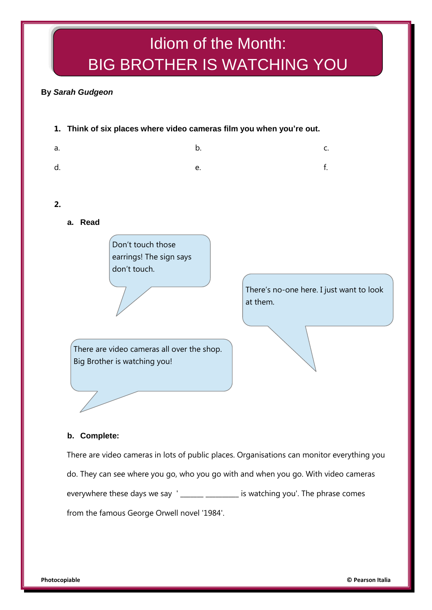# Idiom of the Month: BIG BROTHER IS WATCHING YOU

## **By** *Sarah Gudgeon*

**1. Think of six places where video cameras film you when you're out.**

| a. | $\mathbf b$ .     | C. |
|----|-------------------|----|
| d. | $f_{\rm c}$<br>e. |    |
|    |                   |    |

**2.**

**a. Read**

Don't touch those earrings! The sign says don't touch.

> There's no-one here. I just want to look at them.

There are video cameras all over the shop. Big Brother is watching you!

**b. Complete:** 

There are video cameras in lots of public places. Organisations can monitor everything you do. They can see where you go, who you go with and when you go. With video cameras everywhere these days we say '\_\_\_\_\_\_ \_\_\_\_\_\_\_\_\_ is watching you'. The phrase comes from the famous George Orwell novel '1984'.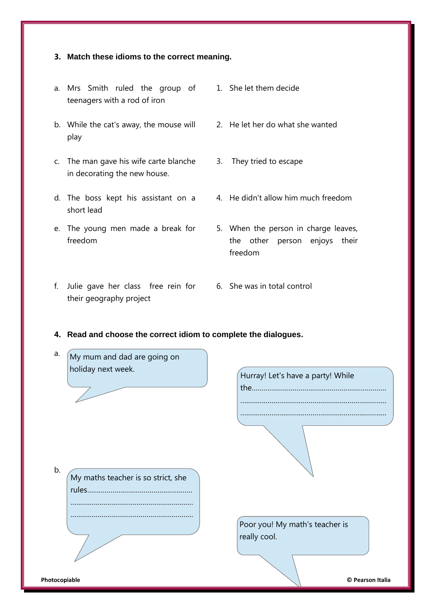#### **3. Match these idioms to the correct meaning.**

- a. Mrs Smith ruled the group of 1. She let them decide teenagers with a rod of iron
- b. While the cat's away, the mouse will 2. He let her do what she wanted play
- c. The man gave his wife carte blanche in decorating the new house.
- d. The boss kept his assistant on a 4. He didn't allow him much freedom short lead
- e. The young men made a break for freedom
- f. Julie gave her class free rein for 6. She was in total control their geography project
- -
- 3. They tried to escape
- 
- 5. When the person in charge leaves, the other person enjoys their freedom
- 
- **4. Read and choose the correct idiom to complete the dialogues.**

| a.<br>My mum and dad are going on  |                                   |
|------------------------------------|-----------------------------------|
| holiday next week.                 | Hurray! Let's have a party! While |
|                                    |                                   |
|                                    |                                   |
|                                    |                                   |
|                                    |                                   |
| b.                                 |                                   |
| My maths teacher is so strict, she |                                   |
| rules                              |                                   |
|                                    |                                   |
|                                    | Poor you! My math's teacher is    |
|                                    | really cool.                      |
|                                    |                                   |
|                                    |                                   |
| Photocopiable                      | © Pearson Italia                  |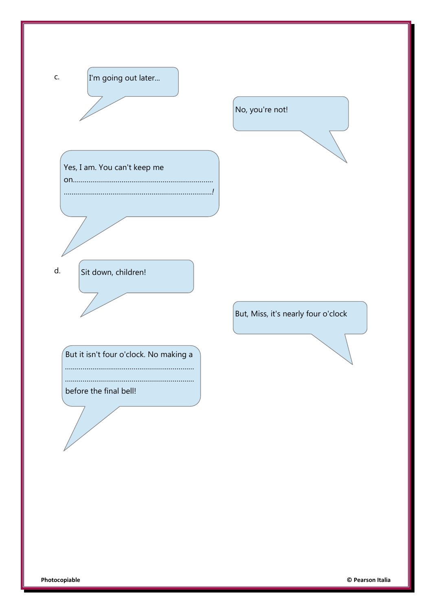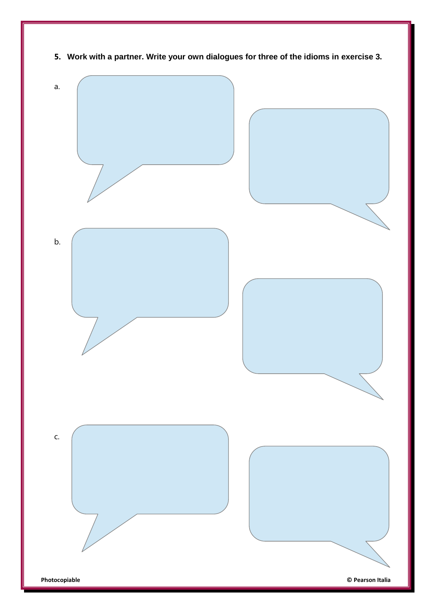

**5. Work with a partner. Write your own dialogues for three of the idioms in exercise 3.**